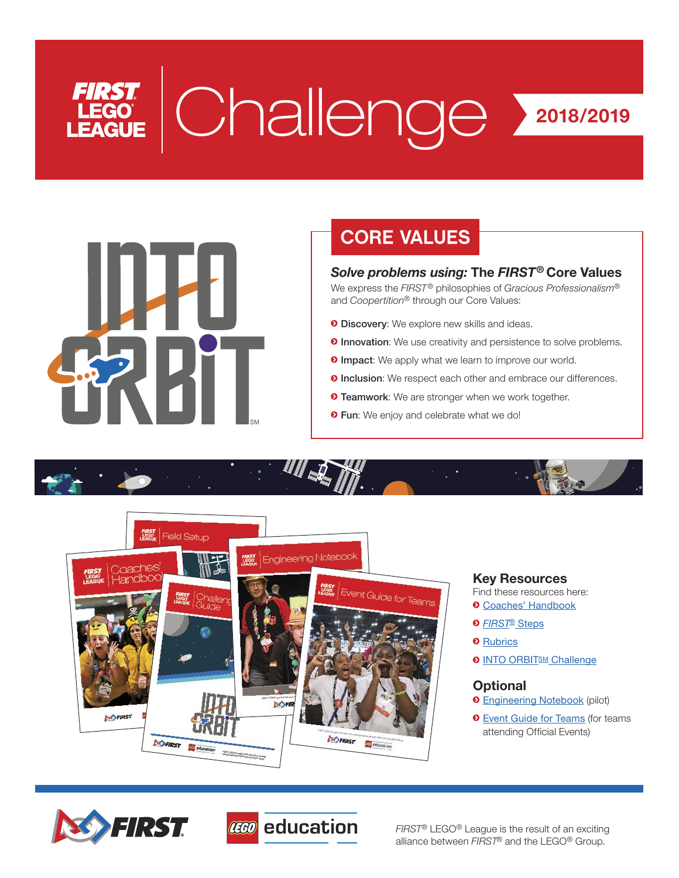# **Challenge 2018/2019**



# **CORE VALUES**

# *Solve problems using:* **The** *FIRST***® Core Values**

We express the *FIRST*® philosophies of *Gracious Professionalism*® and *Coopertition*® through our Core Values:

- **O Discovery:** We explore new skills and ideas.
- $\Theta$  **Innovation**: We use creativity and persistence to solve problems.
- **O Impact:** We apply what we learn to improve our world.
- $\Theta$  **Inclusion**: We respect each other and embrace our differences.
- **O** Teamwork: We are stronger when we work together.
- $\bullet$  **Fun**: We enjoy and celebrate what we do!





# **Key Resources**

Find these resources here:  $\odot$  [Coaches' Handbook](https://www.firstinspires.org/resource-library/fll/team-management-resources)

- ĥ *FIRST*[® Steps](http://info.firstinspires.org/fll-first-steps-request)
- **O** [Rubrics](https://www.firstinspires.org/sites/default/files/uploads/fll/first-lego-league-rubrics.pdf)
- **O [INTO ORBITSM Challenge](http://www.firstlegoleague.org/challenge)**

# **Optional**

- $\odot$  [Engineering Notebook](http://www.firstlegoleague.org/challenge) (pilot)
- $\odot$  [Event Guide for Teams](https://www.firstinspires.org/resource-library/fll/team-management-resources) (for teams attending Official Events)





*FIRST®* LEGO® League is the result of an exciting alliance between *FIRST*® and the LEGO® Group.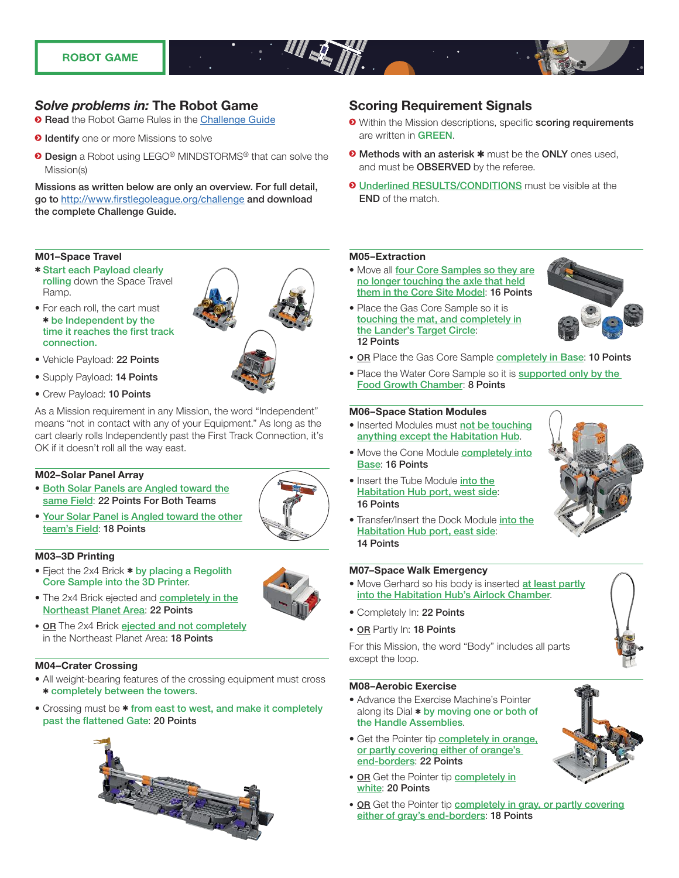# *Solve problems in:* **The Robot Game**

- $\odot$  **Read** the Robot Game Rules in the [Challenge Guide](http://www.firstlegoleague.org/challenge)
- $\bullet$  **Identify** one or more Missions to solve
- **O Design** a Robot using LEGO<sup>®</sup> MINDSTORMS<sup>®</sup> that can solve the Mission(s)

Missions as written below are only an overview. For full detail, go to <http://www.firstlegoleague.org/challenge> and download the complete Challenge Guide.

#### **M01–Space Travel**

- ✱ Start each Payload clearly rolling down the Space Travel Ramp.
- For each roll, the cart must ✱ be Independent by the time it reaches the first track connection.
- Vehicle Payload: 22 Points
- Supply Payload: 14 Points
- Crew Payload: 10 Points

As a Mission requirement in any Mission, the word "Independent" means "not in contact with any of your Equipment." As long as the cart clearly rolls Independently past the First Track Connection, it's OK if it doesn't roll all the way east.

#### **M02–Solar Panel Array**

- Both Solar Panels are Angled toward the same Field: 22 Points For Both Teams
- Your Solar Panel is Angled toward the other team's Field: 18 Points



#### **M03–3D Printing**

- Eject the 2x4 Brick \* by placing a Regolith Core Sample into the 3D Printer.
- The 2x4 Brick ejected and **completely in the** Northeast Planet Area: 22 Points
- OR The 2x4 Brick ejected and not completely in the Northeast Planet Area: 18 Points

#### **M04–Crater Crossing**

- All weight-bearing features of the crossing equipment must cross ✱ completely between the towers.
- Crossing must be \* from east to west, and make it completely past the flattened Gate: 20 Points



## **Scoring Requirement Signals**

- $\bullet$  Within the Mission descriptions, specific scoring requirements are written in GREEN.
- **O** Methods with an asterisk **\*** must be the ONLY ones used. and must be **OBSERVED** by the referee.
- $\odot$  Underlined RESULTS/CONDITIONS must be visible at the END of the match.

#### **M05–Extraction**

- Move all four Core Samples so they are no longer touching the axle that held them in the Core Site Model: 16 Points
- Place the Gas Core Sample so it is touching the mat, and completely in the Lander's Target Circle: 12 Points



- OR Place the Gas Core Sample completely in Base: 10 Points
- Place the Water Core Sample so it is **supported only by the** Food Growth Chamber: 8 Points

#### **M06–Space Station Modules**

- Inserted Modules must not be touching anything except the Habitation Hub.
- Move the Cone Module **completely into** Base: 16 Points
- Insert the Tube Module into the Habitation Hub port, west side: 16 Points
- Transfer/Insert the Dock Module into the **Habitation Hub port, east side:** 14 Points

#### **M07–Space Walk Emergency**

- Move Gerhard so his body is inserted at least partly into the Habitation Hub's Airlock Chamber.
- 
- OR Partly In: 18 Points

For this Mission, the word "Body" includes all parts except the loop.

#### **M08–Aerobic Exercise**

- Advance the Exercise Machine's Pointer along its Dial \* by moving one or both of the Handle Assemblies.
- Get the Pointer tip completely in orange, or partly covering either of orange's end-borders: 22 Points
- OR Get the Pointer tip completely in white: 20 Points
- OR Get the Pointer tip completely in gray, or partly covering either of gray's end-borders: 18 Points









• Completely In: 22 Points



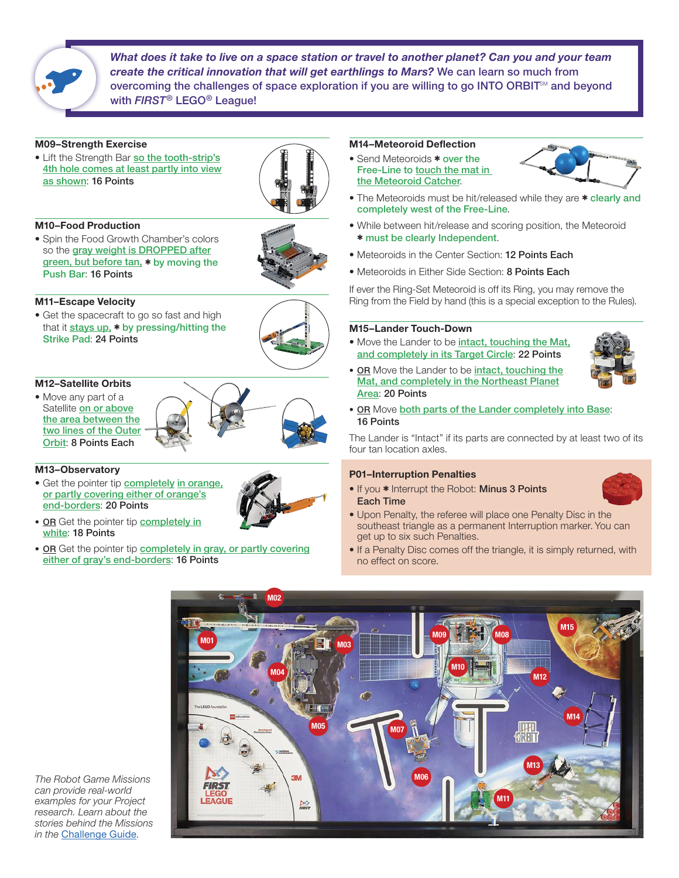

*What does it take to live on a space station or travel to another planet? Can you and your team create the critical innovation that will get earthlings to Mars?* We can learn so much from overcoming the challenges of space exploration if you are willing to go INTO ORBIT<sup>SM</sup> and beyond with *FIRST*® LEGO® League!

#### **M09–Strength Exercise**

• Lift the Strength Bar so the tooth-strip's 4th hole comes at least partly into view as shown: 16 Points



#### **M10–Food Production**

• Spin the Food Growth Chamber's colors so the gray weight is DROPPED after green, but before tan, \* by moving the Push Bar: 16 Points



#### **M11–Escape Velocity**

• Get the spacecraft to go so fast and high that it stays up, \* by pressing/hitting the Strike Pad: 24 Points



#### **M12–Satellite Orbits**

• Move any part of a Satellite on or above the area between the two lines of the Outer Orbit: 8 Points Each



• Get the pointer tip **completely in orange,** or partly covering either of orange's end-borders: 20 Points



- OR Get the pointer tip completely in white: 18 Points
- OR Get the pointer tip completely in gray, or partly covering either of gray's end-borders: 16 Points

#### **M14–Meteoroid Deflection**

• Send Meteoroids \* over the Free-Line to touch the mat in the Meteoroid Catcher.



- The Meteoroids must be hit/released while they are \* clearly and completely west of the Free-Line.
- While between hit/release and scoring position, the Meteoroid ✱ must be clearly Independent.
- Meteoroids in the Center Section: 12 Points Each
- Meteoroids in Either Side Section: 8 Points Each

If ever the Ring-Set Meteoroid is off its Ring, you may remove the Ring from the Field by hand (this is a special exception to the Rules).

#### **M15–Lander Touch-Down**

• Move the Lander to be intact, touching the Mat, and completely in its Target Circle: 22 Points



- OR Move the Lander to be intact, touching the Mat, and completely in the Northeast Planet Area: 20 Points
- OR Move both parts of the Lander completely into Base: 16 Points

The Lander is "Intact" if its parts are connected by at least two of its four tan location axles.

#### **P01–Interruption Penalties**

• If you \* Interrupt the Robot: Minus 3 Points Each Time



- Upon Penalty, the referee will place one Penalty Disc in the southeast triangle as a permanent Interruption marker. You can get up to six such Penalties.
- If a Penalty Disc comes off the triangle, it is simply returned, with no effect on score.



*The Robot Game Missions can provide real-world examples for your Project research. Learn about the stories behind the Missions in the* [Challenge Guide](http://www.firstlegoleague.org/challenge).